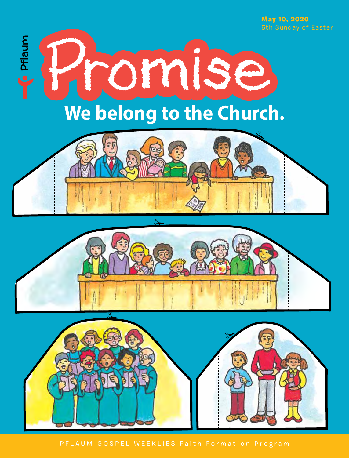May 10, 2020 5th Sunday of Easter



PFLAUM GOSPEL WEEKLIES Faith Formation Program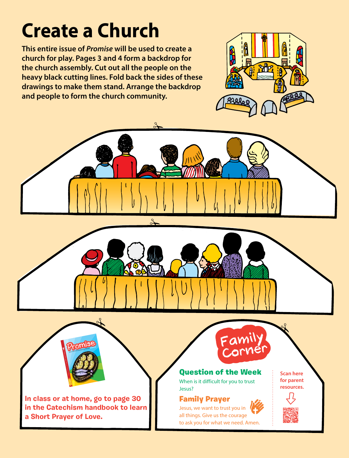## **Create a Church**

**This entire issue of** *Promise* **will be used to create a church for play. Pages 3 and 4 form a backdrop for the church assembly. Cut out all the people on the heavy black cutting lines. Fold back the sides of these drawings to make them stand. Arrange the backdrop and people to form the church community.**





**In class or at home, go to page 30 in the Catechism handbook to learn a Short Prayer of Love.** 

## Family Prayer

Jesus, we want to trust you in all things. Give us the courage to ask you for what we need. Amen.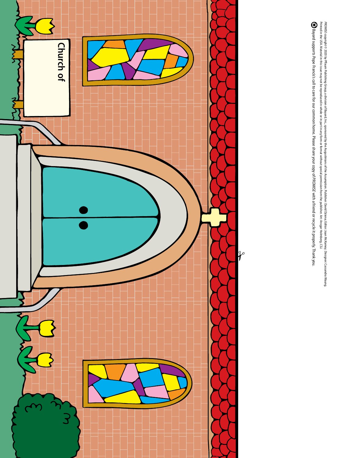

*PROMIS*E copyright © 2020 by Plaum Publishing Group, a division of Bec, apposite by the Assumption. Publisher: David Dziens, Editor: Joan McKamey; Designer: Cassandra Waung.<br>Printed in the USA Material in this isse may no Printed in the USA. Material in this issue may not be reproduced in whole or in part in any form or format without special permission from the publisher. Art: Ansgar Holmberg, CSJ. *PROMISE* copyright © 2020 by Pflaum Publishing Group, a division of Bayard, Inc., sponsored by the Augustinians of the Assumption. Publisher: David Dziena; Editor: Joan McKamey; Designer: Cassandra Waung.

Bayard supports Pope Franciss call to care for our common home. Please share your copy of PROMISE with a friend or recycle it properly. Thank you. Bayard supports Pope Francis's call to care for our common home. Please share your copy of *PROMISE* with a friend or recycle it properly. Thank you.